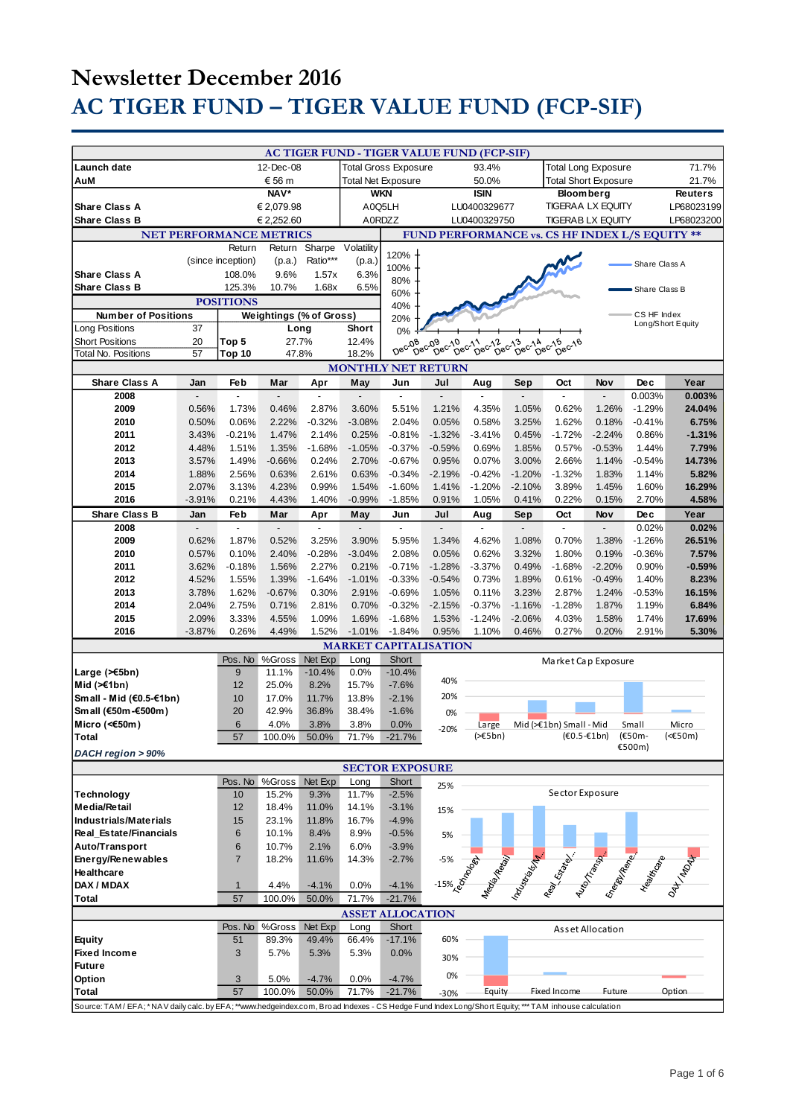|                                                                                                                                                 |                |                    |                           |                                                    |                                                |                     | AC TIGER FUND - TIGER VALUE FUND (FCP-SIF) |                                     |                                                                          |                                                                                                                       |                  |                      |                   |
|-------------------------------------------------------------------------------------------------------------------------------------------------|----------------|--------------------|---------------------------|----------------------------------------------------|------------------------------------------------|---------------------|--------------------------------------------|-------------------------------------|--------------------------------------------------------------------------|-----------------------------------------------------------------------------------------------------------------------|------------------|----------------------|-------------------|
| Launch date                                                                                                                                     | 12-Dec-08      |                    |                           | <b>Total Gross Exposure</b><br>93.4%               |                                                |                     |                                            | 71.7%<br><b>Total Long Exposure</b> |                                                                          |                                                                                                                       |                  |                      |                   |
| € 56 m<br>AuM                                                                                                                                   |                |                    | <b>Total Net Exposure</b> |                                                    | 50.0%                                          |                     |                                            | <b>Total Short Exposure</b>         |                                                                          |                                                                                                                       | 21.7%            |                      |                   |
| NAV*                                                                                                                                            |                |                    |                           | <b>WKN</b>                                         |                                                |                     | <b>ISIN</b>                                |                                     | <b>Bloomberg</b>                                                         |                                                                                                                       |                  | <b>Reuters</b>       |                   |
| € 2,079.98<br><b>Share Class A</b>                                                                                                              |                |                    |                           | A0Q5LH<br>LU0400329677                             |                                                |                     |                                            | <b>TIGERAA LX EQUITY</b>            |                                                                          |                                                                                                                       | LP68023199       |                      |                   |
| <b>Share Class B</b><br>€ 2,252.60                                                                                                              |                |                    |                           | A0RDZZ<br>LU0400329750<br><b>TIGERAB LX EQUITY</b> |                                                |                     |                                            |                                     | LP68023200                                                               |                                                                                                                       |                  |                      |                   |
| <b>NET PERFORMANCE METRICS</b>                                                                                                                  |                |                    |                           |                                                    | FUND PERFORMANCE vs. CS HF INDEX L/S EQUITY ** |                     |                                            |                                     |                                                                          |                                                                                                                       |                  |                      |                   |
|                                                                                                                                                 |                | Return             | Return                    | Sharpe                                             | Volatility                                     | 120%                |                                            |                                     |                                                                          |                                                                                                                       |                  |                      |                   |
|                                                                                                                                                 |                | (since inception)  | (p.a.)                    | Ratio***                                           | (p.a.)                                         | 100%                |                                            |                                     |                                                                          |                                                                                                                       |                  | Share Class A        |                   |
| <b>Share Class A</b>                                                                                                                            |                | 108.0%             | 9.6%                      | 1.57x                                              | 6.3%                                           | 80%                 |                                            |                                     |                                                                          |                                                                                                                       |                  |                      |                   |
| <b>Share Class B</b>                                                                                                                            |                | 125.3%             | 10.7%                     | 1.68x                                              | 6.5%                                           | 60%                 |                                            |                                     |                                                                          |                                                                                                                       |                  | Share Class B        |                   |
|                                                                                                                                                 |                | <b>POSITIONS</b>   |                           |                                                    |                                                | 40%                 |                                            |                                     |                                                                          |                                                                                                                       |                  |                      |                   |
| <b>Number of Positions</b>                                                                                                                      |                |                    | Weightings (% of Gross)   |                                                    |                                                | 20%                 |                                            |                                     |                                                                          |                                                                                                                       |                  | CS HF Index          | Long/Short Equity |
| <b>Long Positions</b>                                                                                                                           | 37             |                    | Long<br>27.7%             |                                                    | <b>Short</b>                                   | 0%                  |                                            |                                     |                                                                          |                                                                                                                       |                  |                      |                   |
| <b>Short Positions</b><br><b>Total No. Positions</b>                                                                                            | 20<br>57       | Top 5<br>Top 10    |                           |                                                    | 12.4%<br>18.2%                                 | Dec-08              | Dec09<br>09 c-10 c-11<br>Dec-10 c-11       | Dec-12                              | $\overline{D}e^{\overline{C}^{\prime\lambda}}$<br>$\tilde{D}e^{C^{1/3}}$ | $\theta^{\text{ec}}$ <sup>15</sup><br>Dec-16                                                                          |                  |                      |                   |
| 47.8%<br><b>MONTHLY NET RETURN</b>                                                                                                              |                |                    |                           |                                                    |                                                |                     |                                            |                                     |                                                                          |                                                                                                                       |                  |                      |                   |
| <b>Share Class A</b>                                                                                                                            | Jan            | Feb                | Mar                       | Apr                                                | May                                            | Jun                 | Jul                                        | Aug                                 | Sep                                                                      | Oct                                                                                                                   | Nov              | Dec                  | Year              |
| 2008                                                                                                                                            |                |                    |                           |                                                    |                                                |                     |                                            |                                     |                                                                          |                                                                                                                       |                  | 0.003%               | 0.003%            |
| 2009                                                                                                                                            | 0.56%          | 1.73%              | 0.46%                     | 2.87%                                              | 3.60%                                          | 5.51%               | 1.21%                                      | 4.35%                               | 1.05%                                                                    | 0.62%                                                                                                                 | 1.26%            | $-1.29%$             | 24.04%            |
| 2010                                                                                                                                            | 0.50%          | 0.06%              | 2.22%                     | $-0.32%$                                           | $-3.08%$                                       | 2.04%               | 0.05%                                      | 0.58%                               | 3.25%                                                                    | 1.62%                                                                                                                 | 0.18%            | $-0.41%$             | 6.75%             |
| 2011                                                                                                                                            | 3.43%          | $-0.21%$           | 1.47%                     | 2.14%                                              | 0.25%                                          | $-0.81%$            | $-1.32%$                                   | $-3.41%$                            | 0.45%                                                                    | $-1.72%$                                                                                                              | $-2.24%$         | 0.86%                | $-1.31%$          |
| 2012                                                                                                                                            | 4.48%          | 1.51%              | 1.35%                     | $-1.68%$                                           | $-1.05%$                                       | $-0.37%$            | $-0.59%$                                   | 0.69%                               | 1.85%                                                                    | 0.57%                                                                                                                 | $-0.53%$         | 1.44%                | 7.79%             |
| 2013                                                                                                                                            | 3.57%          | 1.49%              | $-0.66%$                  | 0.24%                                              | 2.70%                                          | $-0.67%$            | 0.95%                                      | 0.07%                               | 3.00%                                                                    | 2.66%                                                                                                                 | 1.14%            | $-0.54%$             | 14.73%            |
| 2014                                                                                                                                            | 1.88%          | 2.56%              | 0.63%                     | 2.61%                                              | 0.63%                                          | $-0.34%$            | $-2.19%$                                   | $-0.42%$                            | $-1.20%$                                                                 | $-1.32%$                                                                                                              | 1.83%            | 1.14%                | 5.82%             |
| 2015                                                                                                                                            | 2.07%          | 3.13%              | 4.23%                     | 0.99%                                              | 1.54%                                          | $-1.60%$            | 1.41%                                      | $-1.20%$                            | $-2.10%$                                                                 | 3.89%                                                                                                                 | 1.45%            | 1.60%                | 16.29%            |
| 2016                                                                                                                                            | $-3.91%$       | 0.21%              | 4.43%                     | 1.40%                                              | $-0.99%$                                       | $-1.85%$            | 0.91%                                      | 1.05%                               | 0.41%                                                                    | 0.22%                                                                                                                 | 0.15%            | 2.70%                | 4.58%             |
| <b>Share Class B</b>                                                                                                                            | Jan            | Feb                | Mar                       | Apr                                                | May                                            | Jun                 | Jul                                        | Aug                                 | Sep                                                                      | Oct                                                                                                                   | Nov              | Dec                  | Year              |
| 2008                                                                                                                                            |                | ÷,                 |                           | ٠                                                  | $\overline{a}$                                 |                     | $\overline{a}$                             | $\overline{a}$                      |                                                                          | $\overline{\phantom{a}}$                                                                                              |                  | 0.02%                | 0.02%             |
| 2009<br>2010                                                                                                                                    | 0.62%<br>0.57% | 1.87%<br>0.10%     | 0.52%<br>2.40%            | 3.25%<br>$-0.28%$                                  | 3.90%<br>$-3.04%$                              | 5.95%<br>2.08%      | 1.34%<br>0.05%                             | 4.62%<br>0.62%                      | 1.08%<br>3.32%                                                           | 0.70%<br>1.80%                                                                                                        | 1.38%<br>0.19%   | $-1.26%$<br>$-0.36%$ | 26.51%<br>7.57%   |
| 2011                                                                                                                                            | 3.62%          | $-0.18%$           | 1.56%                     | 2.27%                                              | 0.21%                                          | $-0.71%$            | $-1.28%$                                   | $-3.37%$                            | 0.49%                                                                    | $-1.68%$                                                                                                              | $-2.20%$         | 0.90%                | $-0.59%$          |
| 2012                                                                                                                                            | 4.52%          | 1.55%              | 1.39%                     | $-1.64%$                                           | $-1.01%$                                       | $-0.33%$            | $-0.54%$                                   | 0.73%                               | 1.89%                                                                    | 0.61%                                                                                                                 | $-0.49%$         | 1.40%                | 8.23%             |
| 2013                                                                                                                                            | 3.78%          | 1.62%              | $-0.67%$                  | 0.30%                                              | 2.91%                                          | $-0.69%$            | 1.05%                                      | 0.11%                               | 3.23%                                                                    | 2.87%                                                                                                                 | 1.24%            | $-0.53%$             | 16.15%            |
| 2014                                                                                                                                            | 2.04%          | 2.75%              | 0.71%                     | 2.81%                                              | 0.70%                                          | $-0.32%$            | $-2.15%$                                   | $-0.37%$                            | $-1.16%$                                                                 | $-1.28%$                                                                                                              | 1.87%            | 1.19%                | 6.84%             |
| 2015                                                                                                                                            | 2.09%          | 3.33%              | 4.55%                     | 1.09%                                              | 1.69%                                          | $-1.68%$            | 1.53%                                      | $-1.24%$                            | $-2.06%$                                                                 | 4.03%                                                                                                                 | 1.58%            | 1.74%                | 17.69%            |
| 2016                                                                                                                                            | $-3.87%$       | 0.26%              | 4.49%                     | 1.52%                                              | $-1.01%$                                       | $-1.84%$            | 0.95%                                      | 1.10%                               | 0.46%                                                                    | 0.27%                                                                                                                 | 0.20%            | 2.91%                | 5.30%             |
|                                                                                                                                                 |                |                    |                           |                                                    |                                                |                     | <b>MARKET CAPITALISATION</b>               |                                     |                                                                          |                                                                                                                       |                  |                      |                   |
|                                                                                                                                                 |                | Pos. No            | %Gross                    | Net Exp                                            | Long                                           | Short               |                                            |                                     |                                                                          | Market Cap Exposure                                                                                                   |                  |                      |                   |
| Large (>€5bn)                                                                                                                                   |                | 9                  | 11.1%                     | $-10.4%$                                           | 0.0%                                           | $-10.4%$            | 40%                                        |                                     |                                                                          |                                                                                                                       |                  |                      |                   |
| Mid $(>=1bn)$                                                                                                                                   |                | 12                 | 25.0%                     | 8.2%                                               | 15.7%                                          | $-7.6%$             | 20%                                        |                                     |                                                                          |                                                                                                                       |                  |                      |                   |
| Small - Mid (€0.5-€1bn)<br>Sm all (€50m-€500m)                                                                                                  |                | 10<br>20           | 17.0%<br>42.9%            | 11.7%<br>36.8%                                     | 13.8%<br>38.4%                                 | $-2.1%$<br>$-1.6%$  |                                            |                                     |                                                                          |                                                                                                                       |                  |                      |                   |
| Micro (<€50m)                                                                                                                                   |                | $6\phantom{1}$     | 4.0%                      | 3.8%                                               | 3.8%                                           | 0.0%                | 0%                                         | Large                               |                                                                          | Mid (>€1bn) Small - Mid                                                                                               |                  | Small                | Micro             |
| <b>Total</b>                                                                                                                                    |                | 57                 | 100.0%                    | 50.0%                                              | 71.7%                                          | $-21.7%$            | $-20%$                                     | $(>=5bn)$                           |                                                                          | $(60.5 - 16)$                                                                                                         |                  | (€50m-               | (<€50m)           |
| DACH region > 90%                                                                                                                               |                |                    |                           |                                                    |                                                |                     |                                            |                                     |                                                                          |                                                                                                                       |                  | €500m)               |                   |
| <b>SECTOR EXPOSURE</b>                                                                                                                          |                |                    |                           |                                                    |                                                |                     |                                            |                                     |                                                                          |                                                                                                                       |                  |                      |                   |
|                                                                                                                                                 |                |                    | Pos. No %Gross            | Net Exp                                            | Long                                           | Short               | 25%                                        |                                     |                                                                          |                                                                                                                       |                  |                      |                   |
| Technology                                                                                                                                      |                | 10                 | 15.2%                     | 9.3%                                               | 11.7%                                          | $-2.5%$             |                                            |                                     |                                                                          | Sector Exposure                                                                                                       |                  |                      |                   |
| <b>Media/Retail</b>                                                                                                                             |                | 12                 | 18.4%                     | 11.0%                                              | 14.1%                                          | $-3.1%$             | 15%                                        |                                     |                                                                          |                                                                                                                       |                  |                      |                   |
| <b>Industrials/Materials</b>                                                                                                                    |                | 15                 | 23.1%                     | 11.8%                                              | 16.7%                                          | $-4.9%$             |                                            |                                     |                                                                          |                                                                                                                       |                  |                      |                   |
| Real Estate/Financials                                                                                                                          |                | 6                  | 10.1%                     | 8.4%                                               | 8.9%                                           | $-0.5%$             | 5%                                         |                                     |                                                                          |                                                                                                                       |                  |                      |                   |
| Auto/Transport                                                                                                                                  |                | 6                  | 10.7%                     | 2.1%                                               | 6.0%                                           | $-3.9%$             |                                            |                                     |                                                                          |                                                                                                                       |                  |                      |                   |
| Energy/Renewables                                                                                                                               |                | $\overline{7}$     | 18.2%                     | 11.6%                                              | 14.3%                                          | $-2.7%$             |                                            |                                     |                                                                          |                                                                                                                       |                  |                      |                   |
| <b>Healthcare</b><br>DAX / MDAX                                                                                                                 |                |                    |                           |                                                    |                                                |                     |                                            |                                     |                                                                          |                                                                                                                       |                  |                      |                   |
| Total                                                                                                                                           |                | $\mathbf{1}$<br>57 | 4.4%<br>100.0%            | $-4.1%$<br>50.0%                                   | 0.0%<br>71.7%                                  | $-4.1%$<br>$-21.7%$ |                                            |                                     |                                                                          | -5% and definition of the contract of the contract of the contract of the contract of the contract of the contract of |                  |                      |                   |
|                                                                                                                                                 |                |                    |                           |                                                    |                                                |                     |                                            |                                     |                                                                          |                                                                                                                       |                  |                      |                   |
|                                                                                                                                                 |                | Pos. No            | %Gross                    | Net Exp                                            | <b>ASSET ALLOCATION</b><br>Long                | Short               |                                            |                                     |                                                                          |                                                                                                                       |                  |                      |                   |
| <b>Equity</b>                                                                                                                                   |                | 51                 | 89.3%                     | 49.4%                                              | 66.4%                                          | $-17.1%$            | 60%                                        |                                     |                                                                          |                                                                                                                       | Asset Allocation |                      |                   |
| <b>Fixed Income</b>                                                                                                                             |                | 3                  | 5.7%                      | 5.3%                                               | 5.3%                                           | 0.0%                |                                            |                                     |                                                                          |                                                                                                                       |                  |                      |                   |
| <b>Future</b>                                                                                                                                   |                |                    |                           |                                                    |                                                |                     | 30%                                        |                                     |                                                                          |                                                                                                                       |                  |                      |                   |
| Option                                                                                                                                          |                | 3                  | 5.0%                      | $-4.7%$                                            | 0.0%                                           | $-4.7%$             | 0%                                         |                                     |                                                                          |                                                                                                                       |                  |                      |                   |
| Total                                                                                                                                           |                | 57                 | 100.0%                    | 50.0%                                              | 71.7%                                          | $-21.7%$            | $-30%$                                     | Equity                              |                                                                          | Fixed Income                                                                                                          | Future           |                      | Option            |
| Source: TAM/EFA;*NAV daily calc. by EFA;**www.hedgeindex.com, Broad Indexes - CS Hedge Fund Index Long/Short Equity;*** TAM inhouse calculation |                |                    |                           |                                                    |                                                |                     |                                            |                                     |                                                                          |                                                                                                                       |                  |                      |                   |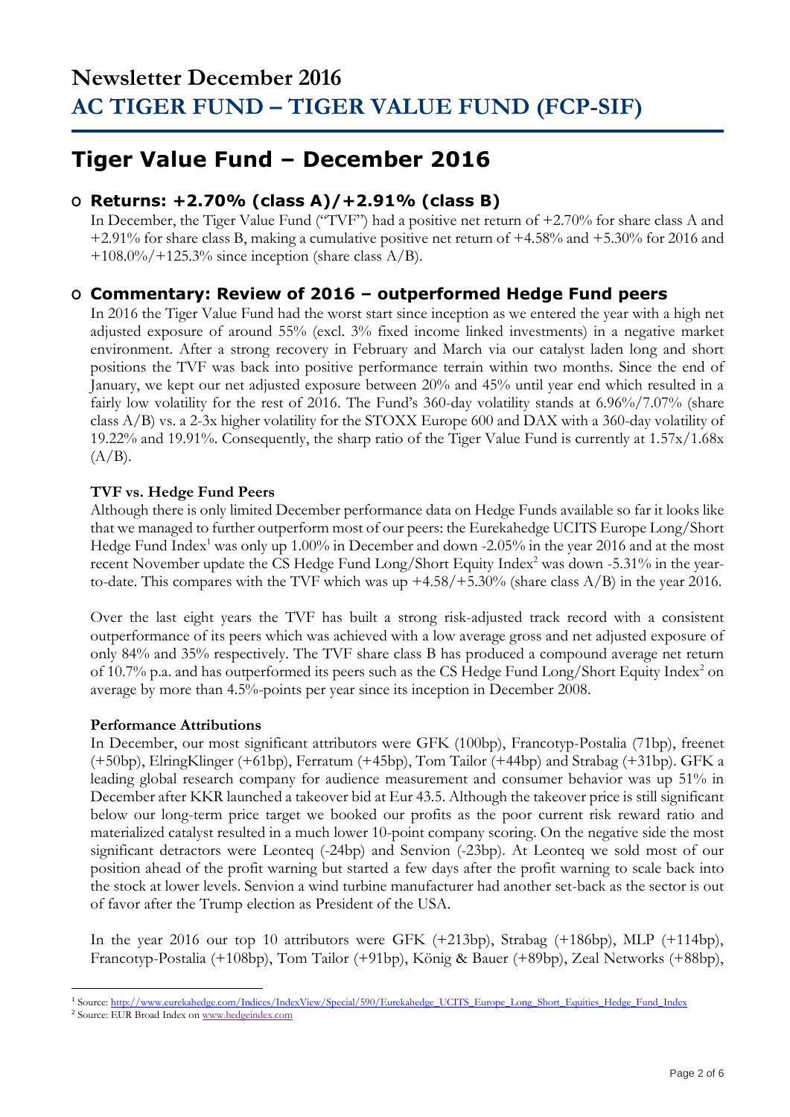## **Tiger Value Fund – December 2016**

## **O Returns: +2.70% (class A)/+2.91% (class B)**

In December, the Tiger Value Fund ("TVF") had a positive net return of +2.70% for share class A and +2.91% for share class B, making a cumulative positive net return of +4.58% and +5.30% for 2016 and  $+108.0\%/+125.3\%$  since inception (share class A/B).

## **O Commentary: Review of 2016 – outperformed Hedge Fund peers**

In 2016 the Tiger Value Fund had the worst start since inception as we entered the year with a high net adjusted exposure of around 55% (excl. 3% fixed income linked investments) in a negative market environment. After a strong recovery in February and March via our catalyst laden long and short positions the TVF was back into positive performance terrain within two months. Since the end of January, we kept our net adjusted exposure between 20% and 45% until year end which resulted in a fairly low volatility for the rest of 2016. The Fund's 360-day volatility stands at 6.96%/7.07% (share class A/B) vs. a 2-3x higher volatility for the STOXX Europe 600 and DAX with a 360-day volatility of 19.22% and 19.91%. Consequently, the sharp ratio of the Tiger Value Fund is currently at 1.57x/1.68x  $(A/B)$ .

### **TVF vs. Hedge Fund Peers**

Although there is only limited December performance data on Hedge Funds available so far it looks like that we managed to further outperform most of our peers: the Eurekahedge UCITS Europe Long/Short Hedge Fund Index<sup>1</sup> was only up 1.00% in December and down -2.05% in the year 2016 and at the most recent November update the CS Hedge Fund Long/Short Equity Index<sup>2</sup> was down -5.31% in the yearto-date. This compares with the TVF which was up +4.58/+5.30% (share class A/B) in the year 2016.

Over the last eight years the TVF has built a strong risk-adjusted track record with a consistent outperformance of its peers which was achieved with a low average gross and net adjusted exposure of only 84% and 35% respectively. The TVF share class B has produced a compound average net return of 10.7% p.a. and has outperformed its peers such as the CS Hedge Fund Long/Short Equity Index<sup>2</sup> on average by more than 4.5%-points per year since its inception in December 2008.

### **Performance Attributions**

In December, our most significant attributors were GFK (100bp), Francotyp-Postalia (71bp), freenet (+50bp), ElringKlinger (+61bp), Ferratum (+45bp), Tom Tailor (+44bp) and Strabag (+31bp). GFK a leading global research company for audience measurement and consumer behavior was up 51% in December after KKR launched a takeover bid at Eur 43.5. Although the takeover price is still significant below our long-term price target we booked our profits as the poor current risk reward ratio and materialized catalyst resulted in a much lower 10-point company scoring. On the negative side the most significant detractors were Leonteq (-24bp) and Senvion (-23bp). At Leonteq we sold most of our position ahead of the profit warning but started a few days after the profit warning to scale back into the stock at lower levels. Senvion a wind turbine manufacturer had another set-back as the sector is out of favor after the Trump election as President of the USA.

In the year 2016 our top 10 attributors were GFK (+213bp), Strabag (+186bp), MLP (+114bp), Francotyp-Postalia (+108bp), Tom Tailor (+91bp), König & Bauer (+89bp), Zeal Networks (+88bp),

<sup>1</sup> <sup>1</sup> Source[: http://www.eurekahedge.com/Indices/IndexView/Special/590/Eurekahedge\\_UCITS\\_Europe\\_Long\\_Short\\_Equities\\_Hedge\\_Fund\\_Index](http://www.eurekahedge.com/Indices/IndexView/Special/590/Eurekahedge_UCITS_Europe_Long_Short_Equities_Hedge_Fund_Index)

<sup>&</sup>lt;sup>2</sup> Source: EUR Broad Index o[n www.hedgeindex.com](http://www.hedgeindex.com/)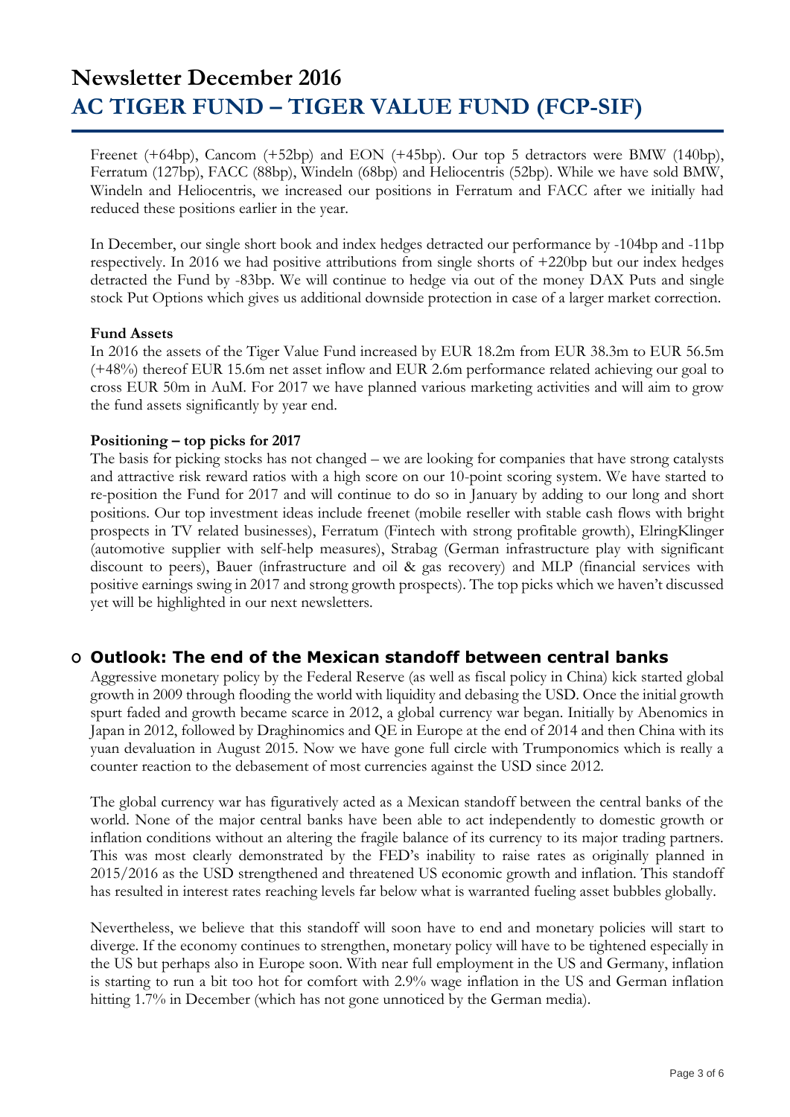Freenet (+64bp), Cancom (+52bp) and EON (+45bp). Our top 5 detractors were BMW (140bp), Ferratum (127bp), FACC (88bp), Windeln (68bp) and Heliocentris (52bp). While we have sold BMW, Windeln and Heliocentris, we increased our positions in Ferratum and FACC after we initially had reduced these positions earlier in the year.

In December, our single short book and index hedges detracted our performance by -104bp and -11bp respectively. In 2016 we had positive attributions from single shorts of +220bp but our index hedges detracted the Fund by -83bp. We will continue to hedge via out of the money DAX Puts and single stock Put Options which gives us additional downside protection in case of a larger market correction.

#### **Fund Assets**

In 2016 the assets of the Tiger Value Fund increased by EUR 18.2m from EUR 38.3m to EUR 56.5m (+48%) thereof EUR 15.6m net asset inflow and EUR 2.6m performance related achieving our goal to cross EUR 50m in AuM. For 2017 we have planned various marketing activities and will aim to grow the fund assets significantly by year end.

### **Positioning – top picks for 2017**

The basis for picking stocks has not changed – we are looking for companies that have strong catalysts and attractive risk reward ratios with a high score on our 10-point scoring system. We have started to re-position the Fund for 2017 and will continue to do so in January by adding to our long and short positions. Our top investment ideas include freenet (mobile reseller with stable cash flows with bright prospects in TV related businesses), Ferratum (Fintech with strong profitable growth), ElringKlinger (automotive supplier with self-help measures), Strabag (German infrastructure play with significant discount to peers), Bauer (infrastructure and oil & gas recovery) and MLP (financial services with positive earnings swing in 2017 and strong growth prospects). The top picks which we haven't discussed yet will be highlighted in our next newsletters.

### **O Outlook: The end of the Mexican standoff between central banks**

Aggressive monetary policy by the Federal Reserve (as well as fiscal policy in China) kick started global growth in 2009 through flooding the world with liquidity and debasing the USD. Once the initial growth spurt faded and growth became scarce in 2012, a global currency war began. Initially by Abenomics in Japan in 2012, followed by Draghinomics and QE in Europe at the end of 2014 and then China with its yuan devaluation in August 2015. Now we have gone full circle with Trumponomics which is really a counter reaction to the debasement of most currencies against the USD since 2012.

The global currency war has figuratively acted as a Mexican standoff between the central banks of the world. None of the major central banks have been able to act independently to domestic growth or inflation conditions without an altering the fragile balance of its currency to its major trading partners. This was most clearly demonstrated by the FED's inability to raise rates as originally planned in 2015/2016 as the USD strengthened and threatened US economic growth and inflation. This standoff has resulted in interest rates reaching levels far below what is warranted fueling asset bubbles globally.

Nevertheless, we believe that this standoff will soon have to end and monetary policies will start to diverge. If the economy continues to strengthen, monetary policy will have to be tightened especially in the US but perhaps also in Europe soon. With near full employment in the US and Germany, inflation is starting to run a bit too hot for comfort with 2.9% wage inflation in the US and German inflation hitting 1.7% in December (which has not gone unnoticed by the German media).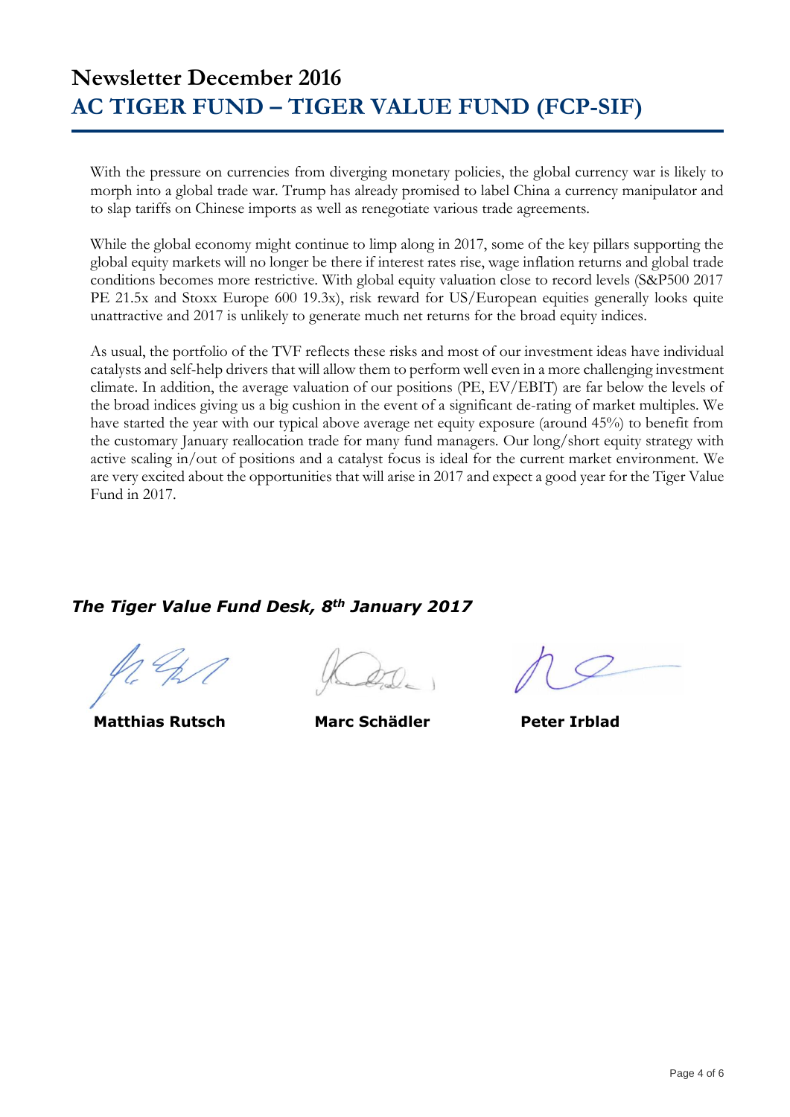With the pressure on currencies from diverging monetary policies, the global currency war is likely to morph into a global trade war. Trump has already promised to label China a currency manipulator and to slap tariffs on Chinese imports as well as renegotiate various trade agreements.

While the global economy might continue to limp along in 2017, some of the key pillars supporting the global equity markets will no longer be there if interest rates rise, wage inflation returns and global trade conditions becomes more restrictive. With global equity valuation close to record levels (S&P500 2017 PE 21.5x and Stoxx Europe 600 19.3x), risk reward for US/European equities generally looks quite unattractive and 2017 is unlikely to generate much net returns for the broad equity indices.

As usual, the portfolio of the TVF reflects these risks and most of our investment ideas have individual catalysts and self-help drivers that will allow them to perform well even in a more challenging investment climate. In addition, the average valuation of our positions (PE, EV/EBIT) are far below the levels of the broad indices giving us a big cushion in the event of a significant de-rating of market multiples. We have started the year with our typical above average net equity exposure (around 45%) to benefit from the customary January reallocation trade for many fund managers. Our long/short equity strategy with active scaling in/out of positions and a catalyst focus is ideal for the current market environment. We are very excited about the opportunities that will arise in 2017 and expect a good year for the Tiger Value Fund in 2017.

### *The Tiger Value Fund Desk, 8th January 2017*

 **Matthias Rutsch Marc Schädler Peter Irblad**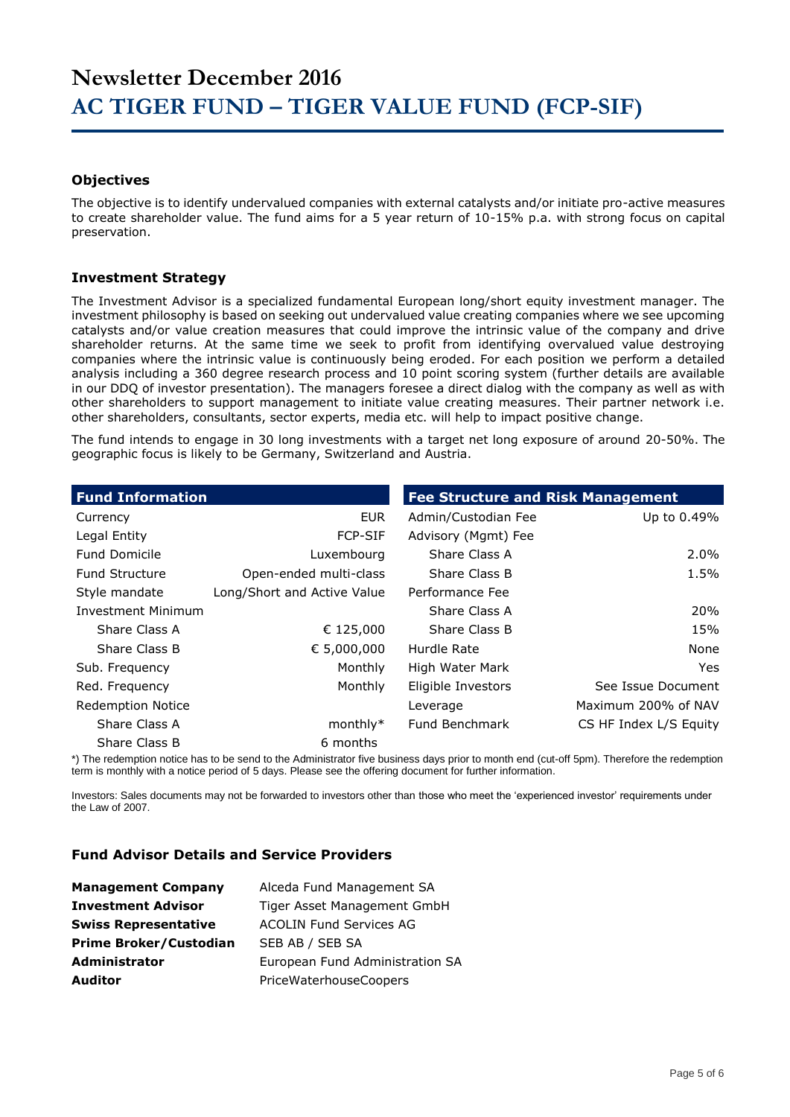#### **Objectives**

The objective is to identify undervalued companies with external catalysts and/or initiate pro-active measures to create shareholder value. The fund aims for a 5 year return of 10-15% p.a. with strong focus on capital preservation.

#### **Investment Strategy**

The Investment Advisor is a specialized fundamental European long/short equity investment manager. The investment philosophy is based on seeking out undervalued value creating companies where we see upcoming catalysts and/or value creation measures that could improve the intrinsic value of the company and drive shareholder returns. At the same time we seek to profit from identifying overvalued value destroying companies where the intrinsic value is continuously being eroded. For each position we perform a detailed analysis including a 360 degree research process and 10 point scoring system (further details are available in our DDQ of investor presentation). The managers foresee a direct dialog with the company as well as with other shareholders to support management to initiate value creating measures. Their partner network i.e. other shareholders, consultants, sector experts, media etc. will help to impact positive change.

The fund intends to engage in 30 long investments with a target net long exposure of around 20-50%. The geographic focus is likely to be Germany, Switzerland and Austria.

| <b>Fund Information</b>   |                             | <b>Fee Structure and Risk Management</b> |                        |
|---------------------------|-----------------------------|------------------------------------------|------------------------|
| Currency                  | <b>EUR</b>                  | Admin/Custodian Fee                      | Up to 0.49%            |
| Legal Entity              | <b>FCP-SIF</b>              | Advisory (Mgmt) Fee                      |                        |
| <b>Fund Domicile</b>      | Luxembourg                  | Share Class A                            | $2.0\%$                |
| <b>Fund Structure</b>     | Open-ended multi-class      | Share Class B                            | 1.5%                   |
| Style mandate             | Long/Short and Active Value | Performance Fee                          |                        |
| <b>Investment Minimum</b> |                             | Share Class A                            | <b>20%</b>             |
| Share Class A             | € 125,000                   | Share Class B                            | 15%                    |
| Share Class B             | € 5,000,000                 | Hurdle Rate                              | None                   |
| Sub. Frequency            | Monthly                     | High Water Mark                          | Yes.                   |
| Red. Frequency            | Monthly                     | Eligible Investors                       | See Issue Document     |
| <b>Redemption Notice</b>  |                             | Leverage                                 | Maximum 200% of NAV    |
| Share Class A             | $monthly*$                  | Fund Benchmark                           | CS HF Index L/S Equity |
| Share Class B             | 6 months                    |                                          |                        |

\*) The redemption notice has to be send to the Administrator five business days prior to month end (cut-off 5pm). Therefore the redemption term is monthly with a notice period of 5 days. Please see the offering document for further information.

Investors: Sales documents may not be forwarded to investors other than those who meet the 'experienced investor' requirements under the Law of 2007.

#### **Fund Advisor Details and Service Providers**

| <b>Management Company</b>     | Alceda Fund Management SA       |
|-------------------------------|---------------------------------|
| <b>Investment Advisor</b>     | Tiger Asset Management GmbH     |
| <b>Swiss Representative</b>   | <b>ACOLIN Fund Services AG</b>  |
| <b>Prime Broker/Custodian</b> | SEB AB / SEB SA                 |
| <b>Administrator</b>          | European Fund Administration SA |
| <b>Auditor</b>                | PriceWaterhouseCoopers          |